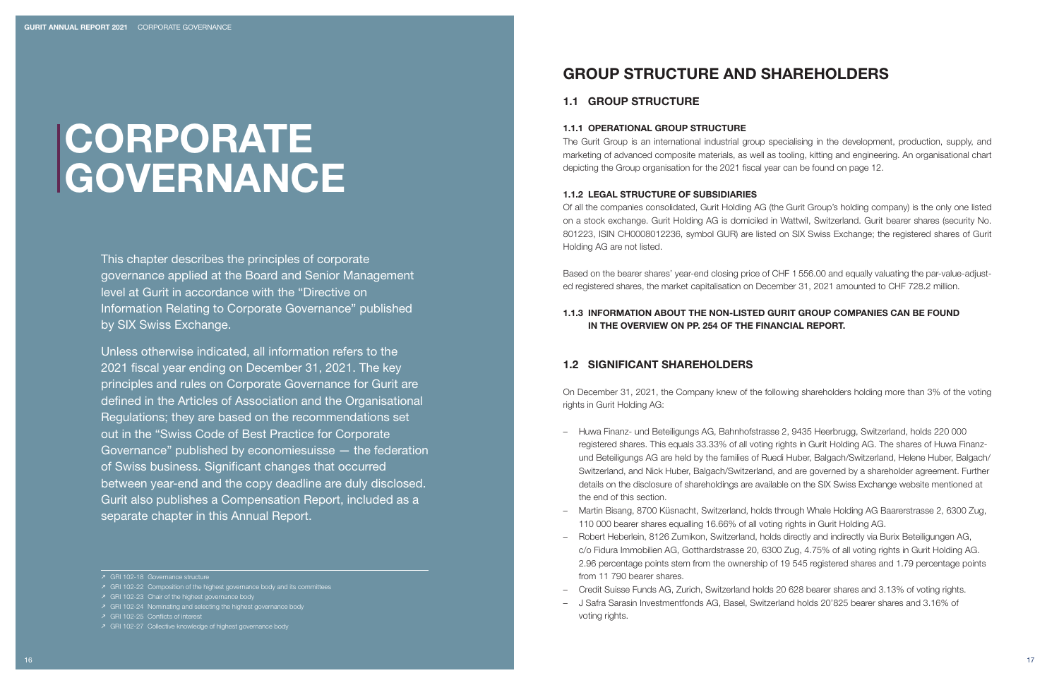# CORPORATE GOVERNANCE

This chapter describes the principles of corporate governance applied at the Board and Senior Management level at Gurit in accordance with the "Directive on Information Relating to Corporate Governance" published by SIX Swiss Exchange.

Unless otherwise indicated, all information refers to the 2021 fiscal year ending on December 31, 2021. The key principles and rules on Corporate Governance for Gurit are defined in the Articles of Association and the Organisational Regulations; they are based on the recommendations set out in the "Swiss Code of Best Practice for Corporate Governance" published by economiesuisse — the federation of Swiss business. Significant changes that occurred between year-end and the copy deadline are duly disclosed. Gurit also publishes a Compensation Report, included as a separate chapter in this Annual Report.

 $\lambda$  GRI 102-24 Nominating and selecting the highest governance body

# GROUP STRUCTURE AND SHAREHOLDERS

## 1.1 GROUP STRUCTURE

#### 1.1.1 OPERATIONAL GROUP STRUCTURE

The Gurit Group is an international industrial group specialising in the development, production, supply, and marketing of advanced composite materials, as well as tooling, kitting and engineering. An organisational chart depicting the Group organisation for the 2021 fiscal year can be found on page 12.

#### 1.1.2 LEGAL STRUCTURE OF SUBSIDIARIES

Of all the companies consolidated, Gurit Holding AG (the Gurit Group's holding company) is the only one listed on a stock exchange. Gurit Holding AG is domiciled in Wattwil, Switzerland. Gurit bearer shares (security No. 801223, ISIN CH0008012236, symbol GUR) are listed on SIX Swiss Exchange; the registered shares of Gurit Holding AG are not listed.

Based on the bearer shares' year-end closing price of CHF 1 556.00 and equally valuating the par-value-adjusted registered shares, the market capitalisation on December 31, 2021 amounted to CHF 728.2 million.

## 1.1.3 INFORMATION ABOUT THE NON-LISTED GURIT GROUP COMPANIES CAN BE FOUND IN THE OVERVIEW ON PP. 254 OF THE FINANCIAL REPORT.

## 1.2 SIGNIFICANT SHAREHOLDERS

On December 31, 2021, the Company knew of the following shareholders holding more than 3% of the voting rights in Gurit Holding AG:

- Huwa Finanz- und Beteiligungs AG, Bahnhofstrasse 2, 9435 Heerbrugg, Switzerland, holds 220 000 registered shares. This equals 33.33% of all voting rights in Gurit Holding AG. The shares of Huwa Finanzund Beteiligungs AG are held by the families of Ruedi Huber, Balgach/Switzerland, Helene Huber, Balgach/ Switzerland, and Nick Huber, Balgach/Switzerland, and are governed by a shareholder agreement. Further details on the disclosure of shareholdings are available on the SIX Swiss Exchange website mentioned at the end of this section.
- Martin Bisang, 8700 Küsnacht, Switzerland, holds through Whale Holding AG Baarerstrasse 2, 6300 Zug, 110 000 bearer shares equalling 16.66% of all voting rights in Gurit Holding AG.
- Robert Heberlein, 8126 Zumikon, Switzerland, holds directly and indirectly via Burix Beteiligungen AG, c/o Fidura Immobilien AG, Gotthardstrasse 20, 6300 Zug, 4.75% of all voting rights in Gurit Holding AG. 2.96 percentage points stem from the ownership of 19 545 registered shares and 1.79 percentage points from 11 790 bearer shares.
- Credit Suisse Funds AG, Zurich, Switzerland holds 20 628 bearer shares and 3.13% of voting rights.
- J Safra Sarasin Investmentfonds AG, Basel, Switzerland holds 20'825 bearer shares and 3.16% of voting rights.

N GRI 102-18 Governance structure

 $\lambda$  GRI 102-22 Composition of the highest governance body and its committees

 $\geq$  GRI 102-23 Chair of the highest governance body

N GRI 102-25 Conflicts of interest

N GRI 102-27 Collective knowledge of highest governance body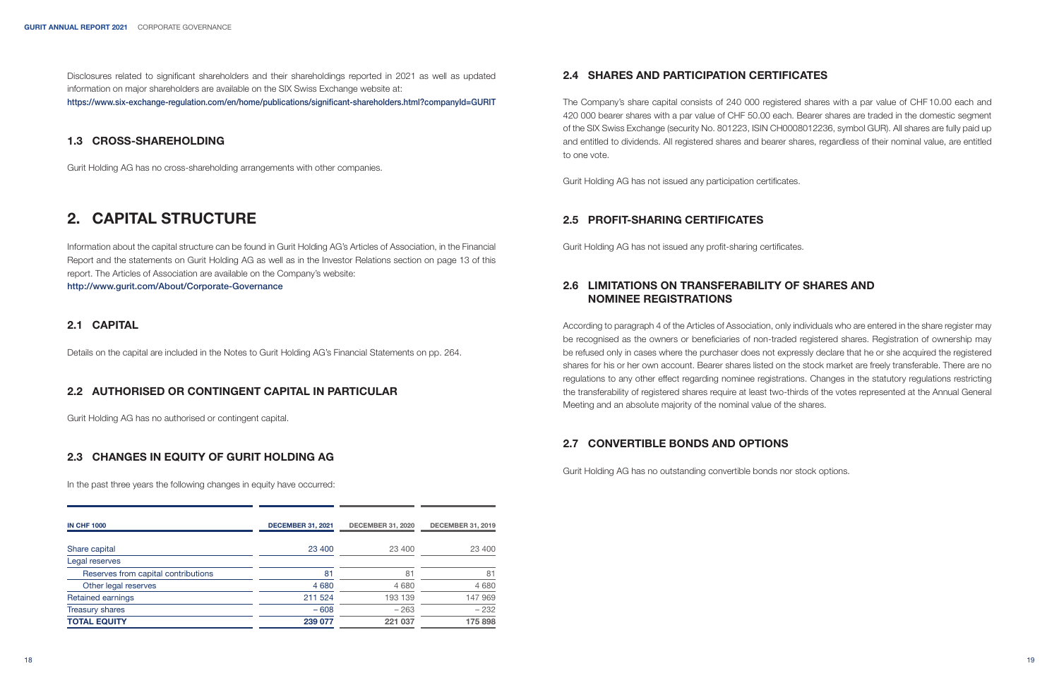Disclosures related to significant shareholders and their shareholdings reported in 2021 as well as updated information on major shareholders are available on the SIX Swiss Exchange website at: https://www.six-exchange-regulation.com/en/home/publications/significant-shareholders.html?companyId=GURIT

## 1.3 CROSS-SHAREHOLDING

Gurit Holding AG has no cross-shareholding arrangements with other companies.

# 2. CAPITAL STRUCTURE

Information about the capital structure can be found in Gurit Holding AG's Articles of Association, in the Financial Report and the statements on Gurit Holding AG as well as in the Investor Relations section on page 13 of this report. The Articles of Association are available on the Company's website: http://www.gurit.com/About/Corporate-Governance

## 2.1 CAPITAL

Details on the capital are included in the Notes to Gurit Holding AG's Financial Statements on pp. 264.

## 2.2 AUTHORISED OR CONTINGENT CAPITAL IN PARTICULAR

Gurit Holding AG has no authorised or contingent capital.

## 2.3 CHANGES IN EQUITY OF GURIT HOLDING AG

In the past three years the following changes in equity have occurred:

| <b>IN CHF 1000</b>                  | <b>DECEMBER 31, 2021</b> | <b>DECEMBER 31, 2020</b> | <b>DECEMBER 31, 2019</b> |
|-------------------------------------|--------------------------|--------------------------|--------------------------|
| Share capital                       | 23 400                   | 23 400                   | 23 400                   |
| Legal reserves                      |                          |                          |                          |
| Reserves from capital contributions | 81                       | 81                       | 81                       |
| Other legal reserves                | 4 6 8 0                  | 4680                     | 4680                     |
| <b>Retained earnings</b>            | 211 524                  | 193 139                  | 147 969                  |
| <b>Treasury shares</b>              | $-608$                   | $-263$                   | $-232$                   |
| <b>TOTAL EQUITY</b>                 | 239 077                  | 221 037                  | 175 898                  |

## 2.4 SHARES AND PARTICIPATION CERTIFICATES

The Company's share capital consists of 240 000 registered shares with a par value of CHF 10.00 each and 420 000 bearer shares with a par value of CHF 50.00 each. Bearer shares are traded in the domestic segment of the SIX Swiss Exchange (security No. 801223, ISIN CH0008012236, symbol GUR). All shares are fully paid up and entitled to dividends. All registered shares and bearer shares, regardless of their nominal value, are entitled to one vote.

Gurit Holding AG has not issued any participation certificates.

## 2.5 PROFIT-SHARING CERTIFICATES

Gurit Holding AG has not issued any profit-sharing certificates.

## 2.6 LIMITATIONS ON TRANSFERABILITY OF SHARES AND NOMINEE REGISTRATIONS

According to paragraph 4 of the Articles of Association, only individuals who are entered in the share register may be recognised as the owners or beneficiaries of non-traded registered shares. Registration of ownership may be refused only in cases where the purchaser does not expressly declare that he or she acquired the registered shares for his or her own account. Bearer shares listed on the stock market are freely transferable. There are no regulations to any other effect regarding nominee registrations. Changes in the statutory regulations restricting the transferability of registered shares require at least two-thirds of the votes represented at the Annual General Meeting and an absolute majority of the nominal value of the shares.

## 2.7 CONVERTIBLE BONDS AND OPTIONS

Gurit Holding AG has no outstanding convertible bonds nor stock options.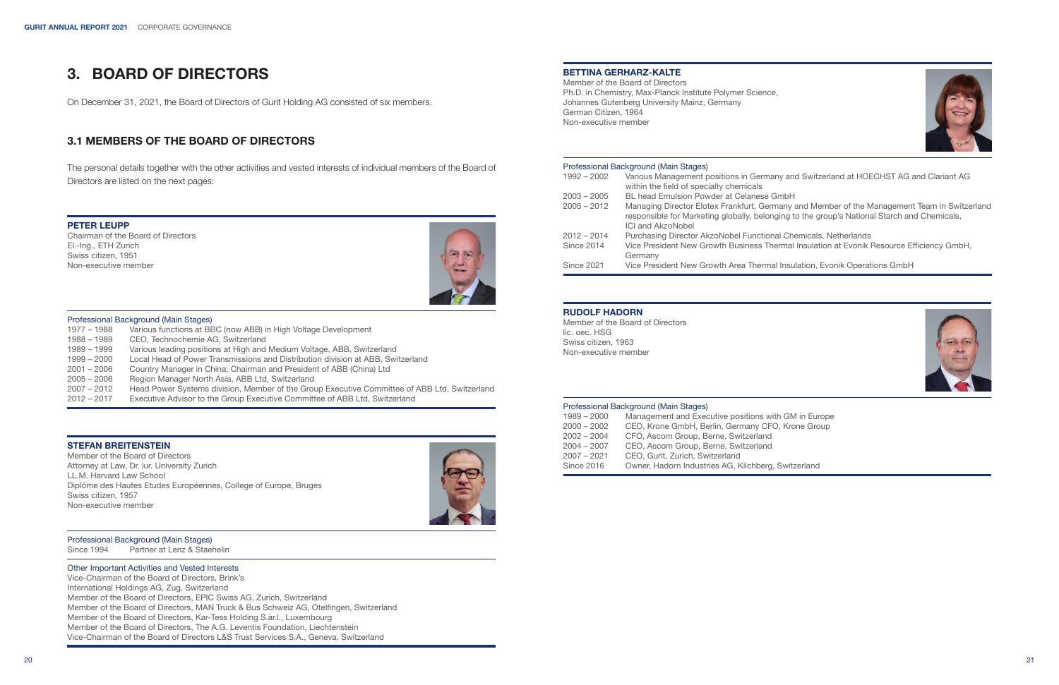# 3. BOARD OF DIRECTORS

On December 31, 2021, the Board of Directors of Gurit Holding AG consisted of six members.

## 3.1 MEMBERS OF THE BOARD OF DIRECTORS

The personal details together with the other activities and vested interests of individual members of the Board of Directors are listed on the next pages:

#### PETER LEUPP

Chairman of the Board of Directors El.-Ing., ETH Zurich Swiss citizen, 1951 Non-executive member



# Professional Background (Main Stages)<br>1977 – 1988 Various functions at BE

- Various functions at BBC (now ABB) in High Voltage Development
- 1988 1989 CEO, Technochemie AG, Switzerland
- 1989 1999 Various leading positions at High and Medium Voltage, ABB, Switzerland
- Local Head of Power Transmissions and Distribution division at ABB, Switzerland
- 2001 2006 Country Manager in China; Chairman and President of ABB (China) Ltd
- 2005 2006 Region Manager North Asia, ABB Ltd, Switzerland
- 2007 2012 Head Power Systems division, Member of the Group Executive Committee of ABB Ltd, Switzerland
- Executive Advisor to the Group Executive Committee of ABB Ltd, Switzerland

#### STEFAN BREITENSTEIN

Member of the Board of Directors Attorney at Law, Dr. iur. University Zurich LL.M. Harvard Law School Diplôme des Hautes Etudes Européennes, College of Europe, Bruges Swiss citizen, 1957 Non-executive member



**Professional Background (Main Stages)**<br>Since 1994 Partner at Lenz & Stae

Partner at Lenz & Staehelin

#### Other Important Activities and Vested Interests

Vice-Chairman of the Board of Directors, Brink's International Holdings AG, Zug, Switzerland Member of the Board of Directors, EPIC Swiss AG, Zurich, Switzerland Member of the Board of Directors, MAN Truck & Bus Schweiz AG, Otelfingen, Switzerland Member of the Board of Directors, Kar-Tess Holding S.àr.l., Luxembourg Member of the Board of Directors, The A.G. Leventis Foundation, Liechtenstein Vice-Chairman of the Board of Directors L&S Trust Services S.A., Geneva, Switzerland

#### BETTINA GERHARZ-KALTE

Member of the Board of Directors Ph.D. in Chemistry, Max-Planck Institute Polymer Science, Johannes Gutenberg University Mainz, Germany German Citizen, 1964 Non-executive member



#### Professional Background (Main Stages)

- 1992 2002 Various Management positions in Germany and Switzerland at HOECHST AG and Clariant AG within the field of specialty chemicals
- 2003 2005 BL head Emulsion Powder at Celanese GmbH
- 2005 2012 Managing Director Elotex Frankfurt, Germany and Member of the Management Team in Switzerland responsible for Marketing globally, belonging to the group's National Starch and Chemicals, ICI and AkzoNobel
- 2012 2014 Purchasing Director AkzoNobel Functional Chemicals, Netherlands<br>Since 2014 Vice President New Growth Business Thermal Insulation at Evonik I
- Vice President New Growth Business Thermal Insulation at Evonik Resource Efficiency GmbH, Germany
- Since 2021 Vice President New Growth Area Thermal Insulation, Evonik Operations GmbH

#### RUDOLF HADORN

Member of the Board of Directors lic. oec. HSG Swiss citizen, 1963 Non-executive member



#### Professional Background (Main Stages)

| $1989 - 2000$ | Management and Executive positions with GM in Europe |
|---------------|------------------------------------------------------|
| $2000 - 2002$ | CEO, Krone GmbH, Berlin, Germany CFO, Krone Group    |
| $2002 - 2004$ | CFO, Ascom Group, Berne, Switzerland                 |
| $2004 - 2007$ | CEO. Ascom Group. Berne. Switzerland                 |
| $2007 - 2021$ | CEO, Gurit, Zurich, Switzerland                      |
| Since 2016    | Owner, Hadorn Industries AG, Kilchberg, Switzerland  |

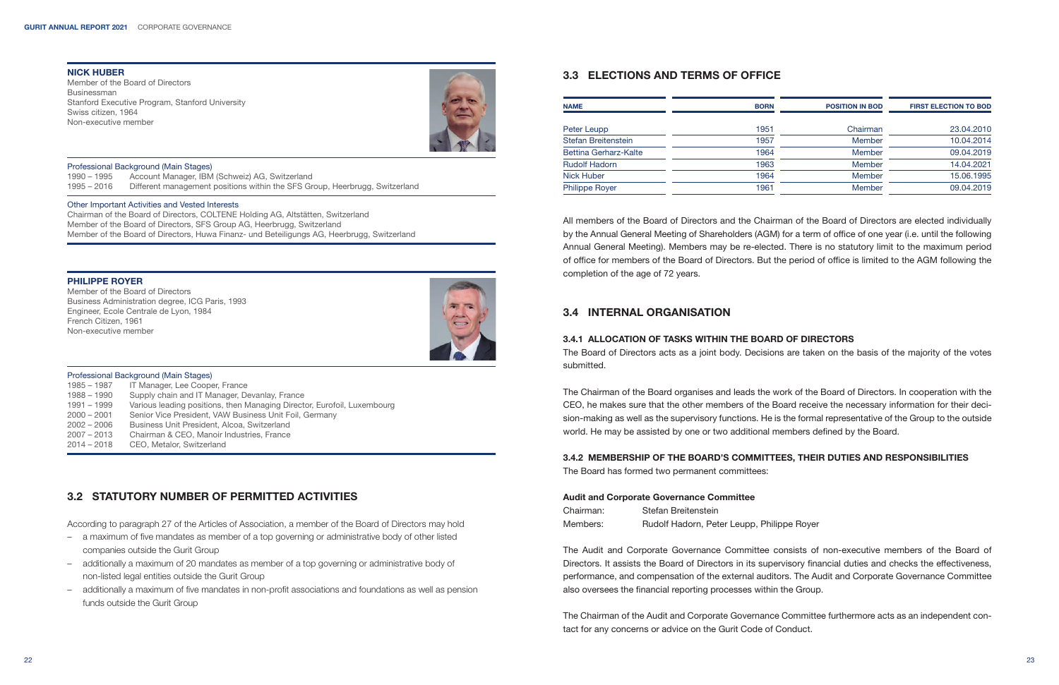#### NICK HUBER

Member of the Board of Directors Businessman Stanford Executive Program, Stanford University Swiss citizen, 1964 Non-executive member



#### Professional Background (Main Stages)

1990 – 1995 Account Manager, IBM (Schweiz) AG, Switzerland Different management positions within the SFS Group, Heerbrugg, Switzerland

#### Other Important Activities and Vested Interests

Chairman of the Board of Directors, COLTENE Holding AG, Altstätten, Switzerland Member of the Board of Directors, SFS Group AG, Heerbrugg, Switzerland Member of the Board of Directors, Huwa Finanz- und Beteiligungs AG, Heerbrugg, Switzerland

#### PHILIPPE ROYER

Member of the Board of Directors Business Administration degree, ICG Paris, 1993 Engineer, Ecole Centrale de Lyon, 1984 French Citizen, 1961 Non-executive member



#### Professional Background (Main Stages)

1985 – 1987 IT Manager, Lee Cooper, France 1988 – 1990 Supply chain and IT Manager, Devanlay, France 1991 – 1999 Various leading positions, then Managing Director, Eurofoil, Luxembourg 2000 – 2001 Senior Vice President, VAW Business Unit Foil, Germany 2002 – 2006 Business Unit President, Alcoa, Switzerland 2007 – 2013 Chairman & CEO, Manoir Industries, France 2014 – 2018 CEO, Metalor, Switzerland

## 3.2 STATUTORY NUMBER OF PERMITTED ACTIVITIES

According to paragraph 27 of the Articles of Association, a member of the Board of Directors may hold

- a maximum of five mandates as member of a top governing or administrative body of other listed companies outside the Gurit Group
- additionally a maximum of 20 mandates as member of a top governing or administrative body of non-listed legal entities outside the Gurit Group
- additionally a maximum of five mandates in non-profit associations and foundations as well as pension funds outside the Gurit Group

## 3.3 ELECTIONS AND TERMS OF OFFICE

| <b>NAME</b>           | <b>BORN</b> | <b>POSITION IN BOD</b> | <b>FIRST ELECTION TO BOD</b> |
|-----------------------|-------------|------------------------|------------------------------|
| Peter Leupp           | 1951        | Chairman               | 23.04.2010                   |
| Stefan Breitenstein   | 1957        | Member                 | 10.04.2014                   |
| Bettina Gerharz-Kalte | 1964        | Member                 | 09.04.2019                   |
| <b>Rudolf Hadorn</b>  | 1963        | Member                 | 14.04.2021                   |
| Nick Huber            | 1964        | Member                 | 15.06.1995                   |
| <b>Philippe Royer</b> | 1961        | <b>Member</b>          | 09.04.2019                   |

All members of the Board of Directors and the Chairman of the Board of Directors are elected individually by the Annual General Meeting of Shareholders (AGM) for a term of office of one year (i.e. until the following Annual General Meeting). Members may be re-elected. There is no statutory limit to the maximum period of office for members of the Board of Directors. But the period of office is limited to the AGM following the completion of the age of 72 years.

## 3.4 INTERNAL ORGANISATION

#### 3.4.1 ALLOCATION OF TASKS WITHIN THE BOARD OF DIRECTORS

The Board of Directors acts as a joint body. Decisions are taken on the basis of the majority of the votes submitted.

The Chairman of the Board organises and leads the work of the Board of Directors. In cooperation with the CEO, he makes sure that the other members of the Board receive the necessary information for their decision-making as well as the supervisory functions. He is the formal representative of the Group to the outside world. He may be assisted by one or two additional members defined by the Board.

#### 3.4.2 MEMBERSHIP OF THE BOARD'S COMMITTEES, THEIR DUTIES AND RESPONSIBILITIES

The Board has formed two permanent committees:

#### Audit and Corporate Governance Committee

Chairman: Stefan Breitenstein Members: Rudolf Hadorn, Peter Leupp, Philippe Royer

The Audit and Corporate Governance Committee consists of non-executive members of the Board of Directors. It assists the Board of Directors in its supervisory financial duties and checks the effectiveness, performance, and compensation of the external auditors. The Audit and Corporate Governance Committee also oversees the financial reporting processes within the Group.

The Chairman of the Audit and Corporate Governance Committee furthermore acts as an independent contact for any concerns or advice on the Gurit Code of Conduct.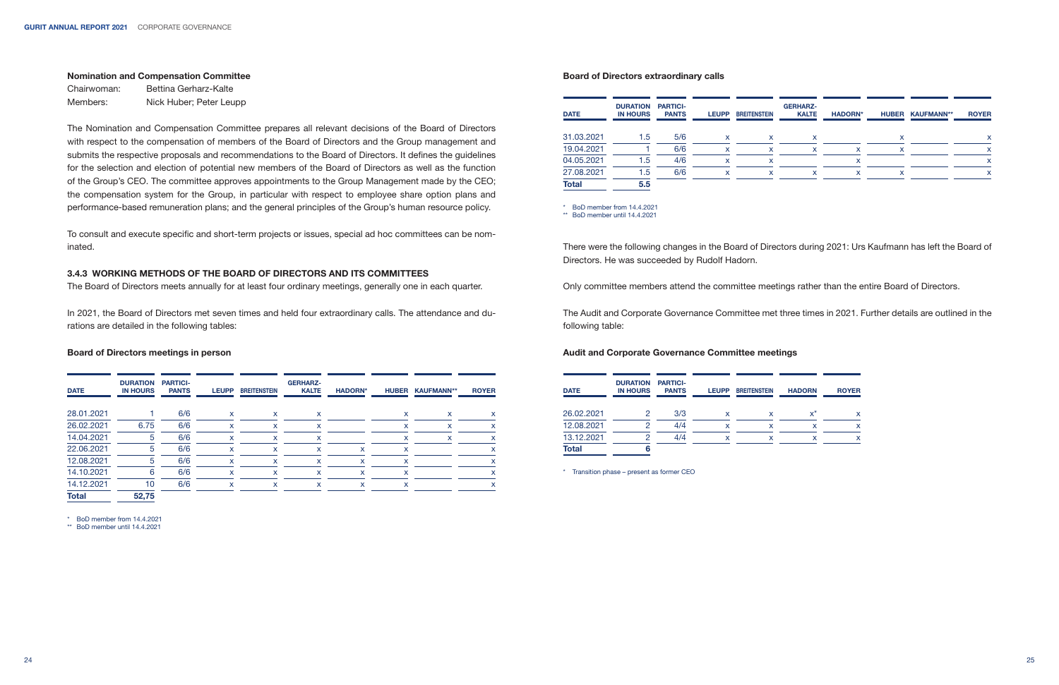#### Nomination and Compensation Committee

Chairwoman: Bettina Gerharz-Kalte Members: Nick Huber; Peter Leupp

The Nomination and Compensation Committee prepares all relevant decisions of the Board of Directors with respect to the compensation of members of the Board of Directors and the Group management and submits the respective proposals and recommendations to the Board of Directors. It defines the guidelines for the selection and election of potential new members of the Board of Directors as well as the function of the Group's CEO. The committee approves appointments to the Group Management made by the CEO; the compensation system for the Group, in particular with respect to employee share option plans and performance-based remuneration plans; and the general principles of the Group's human resource policy.

To consult and execute specific and short-term projects or issues, special ad hoc committees can be nominated.

#### 3.4.3 WORKING METHODS OF THE BOARD OF DIRECTORS AND ITS COMMITTEES

The Board of Directors meets annually for at least four ordinary meetings, generally one in each quarter.

In 2021, the Board of Directors met seven times and held four extraordinary calls. The attendance and durations are detailed in the following tables:

#### Board of Directors meetings in person

| <b>DATE</b>  | <b>DURATION</b><br><b>IN HOURS</b> | <b>PARTICI-</b><br><b>PANTS</b> | <b>LEUPP</b> | <b>BREITENSTEIN</b> | <b>GERHARZ-</b><br><b>KALTE</b> | <b>HADORN*</b> | <b>HUBER</b> | <b>KAUFMANN**</b> | <b>ROYER</b>              |
|--------------|------------------------------------|---------------------------------|--------------|---------------------|---------------------------------|----------------|--------------|-------------------|---------------------------|
| 28.01.2021   |                                    | 6/6                             | X            | x                   | $\mathsf{x}$                    |                | X            | x                 | x                         |
| 26.02.2021   | 6.75                               | 6/6                             | x            | x                   | x                               |                | x            | x                 | x                         |
| 14.04.2021   | 5                                  | 6/6                             | x            | x                   | x                               |                | x            | x                 | X                         |
| 22.06.2021   | 5                                  | 6/6                             | x            | x                   | X                               | x              | x            |                   | X                         |
| 12.08.2021   | 5                                  | 6/6                             | x            | x                   | x                               | x              | x            |                   | x                         |
| 14.10.2021   | 6                                  | 6/6                             | X            | x                   | x                               | x              | x            |                   | x                         |
| 14.12.2021   | 10                                 | 6/6                             | x            | x                   | x                               | x              | x            |                   | $\boldsymbol{\mathsf{x}}$ |
| <b>Total</b> | 52,75                              |                                 |              |                     |                                 |                |              |                   |                           |

\* BoD member from 14.4.2021

\*\* BoD member until 14.4.2021

#### Board of Directors extraordinary calls

|     | <b>LEUPP</b> | <b>BREITENSTEIN</b> | <b>KALTE</b> | <b>HADORN*</b> |   | <b>HUBER KAUFMANN**</b> | <b>ROYER</b> |
|-----|--------------|---------------------|--------------|----------------|---|-------------------------|--------------|
| 5/6 | x            | x                   | x            |                | x |                         | $\mathsf{x}$ |
| 6/6 | x            | x                   | x            | x              | x |                         | x            |
| 4/6 | x            | x                   |              | x              |   |                         | X            |
| 6/6 | x            | x                   | x            | x              | x |                         | x            |
|     |              |                     |              |                |   |                         |              |
|     |              |                     |              |                |   |                         |              |

\*\* BoD member until 14.4.2021

There were the following changes in the Board of Directors during 2021: Urs Kaufmann has left the Board of Directors. He was succeeded by Rudolf Hadorn.

Only committee members attend the committee meetings rather than the entire Board of Directors.

The Audit and Corporate Governance Committee met three times in 2021. Further details are outlined in the following table:

#### Audit and Corporate Governance Committee meetings

| <b>DATE</b>  | <b>DURATION</b><br><b>IN HOURS</b> | <b>PARTICI-</b><br><b>PANTS</b> | <b>LEUPP</b> | <b>BREITENSTEIN</b> | <b>HADORN</b> | <b>ROYER</b> |
|--------------|------------------------------------|---------------------------------|--------------|---------------------|---------------|--------------|
|              |                                    |                                 |              |                     |               |              |
| 26.02.2021   | 2                                  | 3/3                             | x            | x                   | $x^*$         | x            |
| 12.08.2021   | ◠                                  | 4/4                             | x            | x                   | x             |              |
| 13.12.2021   | ◠                                  | 4/4                             | x            | x                   | x             |              |
| <b>Total</b> |                                    |                                 |              |                     |               |              |

\* Transition phase – present as former CEO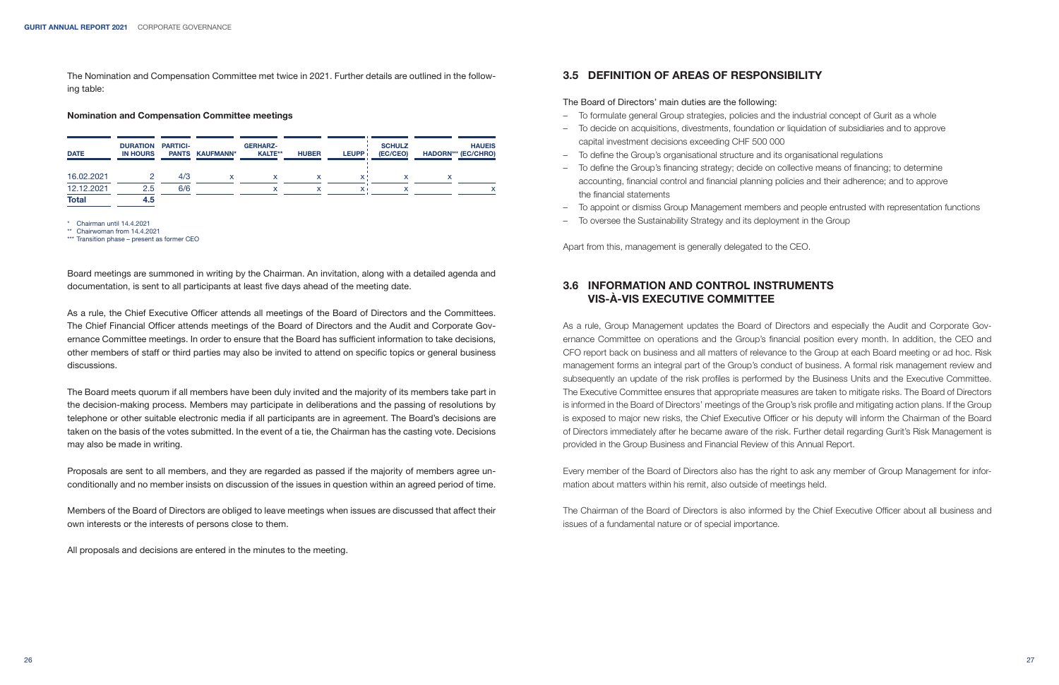The Nomination and Compensation Committee met twice in 2021. Further details are outlined in the following table:

#### Nomination and Compensation Committee meetings

| <b>DATE</b>  | <b>DURATION</b><br><b>IN HOURS</b> | <b>PARTICI-</b> | PANTS KAUFMANN* | <b>GERHARZ-</b><br><b>KALTE**</b> | <b>HUBER</b> | <b>LEUPP</b> | <b>SCHULZ</b><br>(EC/CEO) | <b>HAUEIS</b><br><b>HADORN*** (EC/CHRO)</b> |
|--------------|------------------------------------|-----------------|-----------------|-----------------------------------|--------------|--------------|---------------------------|---------------------------------------------|
| 16.02.2021   |                                    | 4/3             |                 | x                                 |              |              |                           |                                             |
| 12.12.2021   | 2.5                                | 6/6             |                 |                                   |              |              |                           |                                             |
| <b>Total</b> | 4.5                                |                 |                 |                                   |              |              |                           |                                             |

\* Chairman until 14.4.2021

\*\* Chairwoman from 14.4.2021

\*\*\* Transition phase – present as former CEO

Board meetings are summoned in writing by the Chairman. An invitation, along with a detailed agenda and documentation, is sent to all participants at least five days ahead of the meeting date.

As a rule, the Chief Executive Officer attends all meetings of the Board of Directors and the Committees. The Chief Financial Officer attends meetings of the Board of Directors and the Audit and Corporate Governance Committee meetings. In order to ensure that the Board has sufficient information to take decisions, other members of staff or third parties may also be invited to attend on specific topics or general business discussions.

The Board meets quorum if all members have been duly invited and the majority of its members take part in the decision-making process. Members may participate in deliberations and the passing of resolutions by telephone or other suitable electronic media if all participants are in agreement. The Board's decisions are taken on the basis of the votes submitted. In the event of a tie, the Chairman has the casting vote. Decisions may also be made in writing.

Proposals are sent to all members, and they are regarded as passed if the majority of members agree unconditionally and no member insists on discussion of the issues in question within an agreed period of time.

Members of the Board of Directors are obliged to leave meetings when issues are discussed that affect their own interests or the interests of persons close to them.

All proposals and decisions are entered in the minutes to the meeting.

## 3.5 DEFINITION OF AREAS OF RESPONSIBILITY

The Board of Directors' main duties are the following:

- To formulate general Group strategies, policies and the industrial concept of Gurit as a whole
- To decide on acquisitions, divestments, foundation or liquidation of subsidiaries and to approve capital investment decisions exceeding CHF 500 000
- To define the Group's organisational structure and its organisational regulations
- To define the Group's financing strategy; decide on collective means of financing; to determine accounting, financial control and financial planning policies and their adherence; and to approve the financial statements
- To appoint or dismiss Group Management members and people entrusted with representation functions
- To oversee the Sustainability Strategy and its deployment in the Group

Apart from this, management is generally delegated to the CEO.

## 3.6 INFORMATION AND CONTROL INSTRUMENTS VIS-À-VIS EXECUTIVE COMMITTEE

As a rule, Group Management updates the Board of Directors and especially the Audit and Corporate Governance Committee on operations and the Group's financial position every month. In addition, the CEO and CFO report back on business and all matters of relevance to the Group at each Board meeting or ad hoc. Risk management forms an integral part of the Group's conduct of business. A formal risk management review and subsequently an update of the risk profiles is performed by the Business Units and the Executive Committee. The Executive Committee ensures that appropriate measures are taken to mitigate risks. The Board of Directors is informed in the Board of Directors' meetings of the Group's risk profile and mitigating action plans. If the Group is exposed to major new risks, the Chief Executive Officer or his deputy will inform the Chairman of the Board of Directors immediately after he became aware of the risk. Further detail regarding Gurit's Risk Management is provided in the Group Business and Financial Review of this Annual Report.

Every member of the Board of Directors also has the right to ask any member of Group Management for information about matters within his remit, also outside of meetings held.

The Chairman of the Board of Directors is also informed by the Chief Executive Officer about all business and issues of a fundamental nature or of special importance.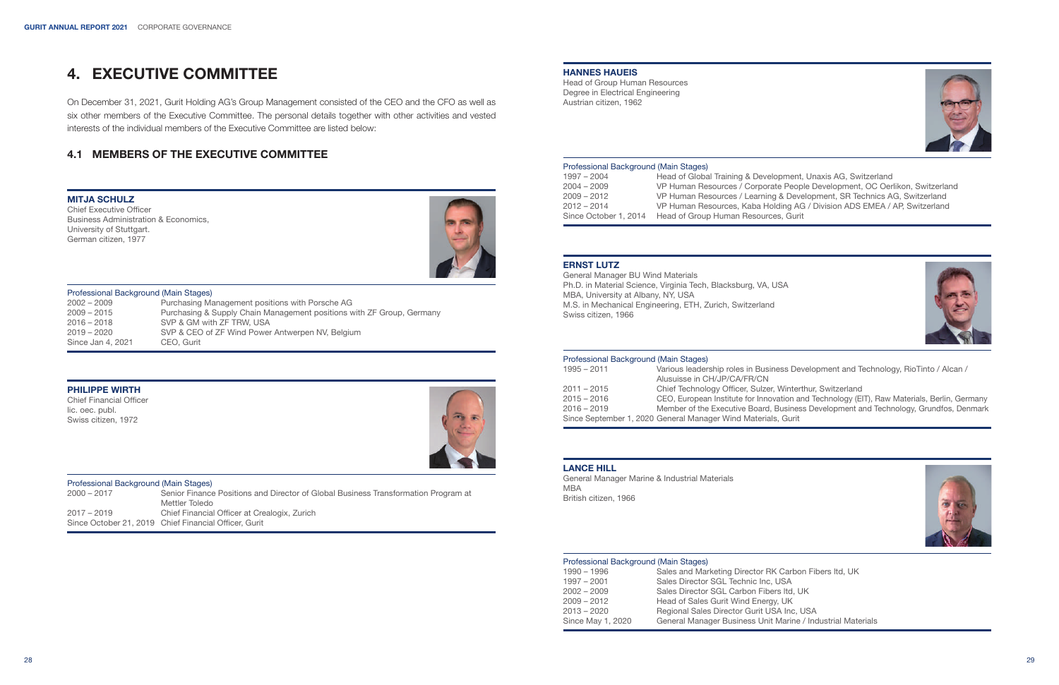# 4. EXECUTIVE COMMITTEE

On December 31, 2021, Gurit Holding AG's Group Management consisted of the CEO and the CFO as well as six other members of the Executive Committee. The personal details together with other activities and vested interests of the individual members of the Executive Committee are listed below:

## 4.1 MEMBERS OF THE EXECUTIVE COMMITTEE

#### MITJA SCHULZ

Chief Executive Officer Business Administration & Economics, University of Stuttgart. German citizen, 1977



#### Professional Background (Main Stages)

| $2002 - 2009$     | Purchasing Management positions with Porsche AG                       |
|-------------------|-----------------------------------------------------------------------|
| $2009 - 2015$     | Purchasing & Supply Chain Management positions with ZF Group, Germany |
| $2016 - 2018$     | SVP & GM with ZF TRW, USA                                             |
| $2019 - 2020$     | SVP & CEO of ZF Wind Power Antwerpen NV, Belgium                      |
| Since Jan 4, 2021 | CEO, Gurit                                                            |

#### PHILIPPE WIRTH

Chief Financial Officer lic. oec. publ. Swiss citizen, 1972



#### Professional Background (Main Stages)<br>2000 – 2017 Senior Finance 2000 – 2017 Senior Finance Positions and Director of Global Business Transformation Program at Mettler Toledo 2017 – 2019 Chief Financial Officer at Crealogix, Zurich Since October 21, 2019 Chief Financial Officer, Gurit

#### HANNES HAUEIS

Head of Group Human Resources Degree in Electrical Engineering Austrian citizen, 1962



#### Professional Background (Main Stages)

| $1997 - 2004$         | Head of Global Training & Development, Unaxis AG, Switzerland               |
|-----------------------|-----------------------------------------------------------------------------|
| $2004 - 2009$         | VP Human Resources / Corporate People Development, OC Oerlikon, Switzerland |
| $2009 - 2012$         | VP Human Resources / Learning & Development, SR Technics AG, Switzerland    |
| $2012 - 2014$         | VP Human Resources, Kaba Holding AG / Division ADS EMEA / AP, Switzerland   |
| Since October 1, 2014 | Head of Group Human Resources, Gurit                                        |

#### ERNST LUTZ

General Manager BU Wind Materials Ph.D. in Material Science, Virginia Tech, Blacksburg, VA, USA MBA, University at Albany, NY, USA M.S. in Mechanical Engineering, ETH, Zurich, Switzerland Swiss citizen, 1966



#### Professional Background (Main Stages)

| $1995 - 2011$ | Various leadership roles in Business Development and Technology, RioTinto / Alcan /         |
|---------------|---------------------------------------------------------------------------------------------|
|               | Alusuisse in CH/JP/CA/FR/CN                                                                 |
| $2011 - 2015$ | Chief Technology Officer, Sulzer, Winterthur, Switzerland                                   |
| $2015 - 2016$ | CEO, European Institute for Innovation and Technology (EIT), Raw Materials, Berlin, Germany |
| $2016 - 2019$ | Member of the Executive Board, Business Development and Technology, Grundfos, Denmark       |
|               | Since September 1, 2020 General Manager Wind Materials, Gurit                               |
|               |                                                                                             |

## LANCE HILL

General Manager Marine & Industrial Materials MBA British citizen, 1966



#### Professional Background (Main Stages)

| 1990 - 1996       | Sales and Marketing Director RK Carbon Fibers Itd, UK       |
|-------------------|-------------------------------------------------------------|
| $1997 - 2001$     | Sales Director SGL Technic Inc. USA                         |
| $2002 - 2009$     | Sales Director SGL Carbon Fibers Itd. UK                    |
| 2009 - 2012       | Head of Sales Gurit Wind Energy, UK                         |
| $2013 - 2020$     | Regional Sales Director Gurit USA Inc, USA                  |
| Since May 1, 2020 | General Manager Business Unit Marine / Industrial Materials |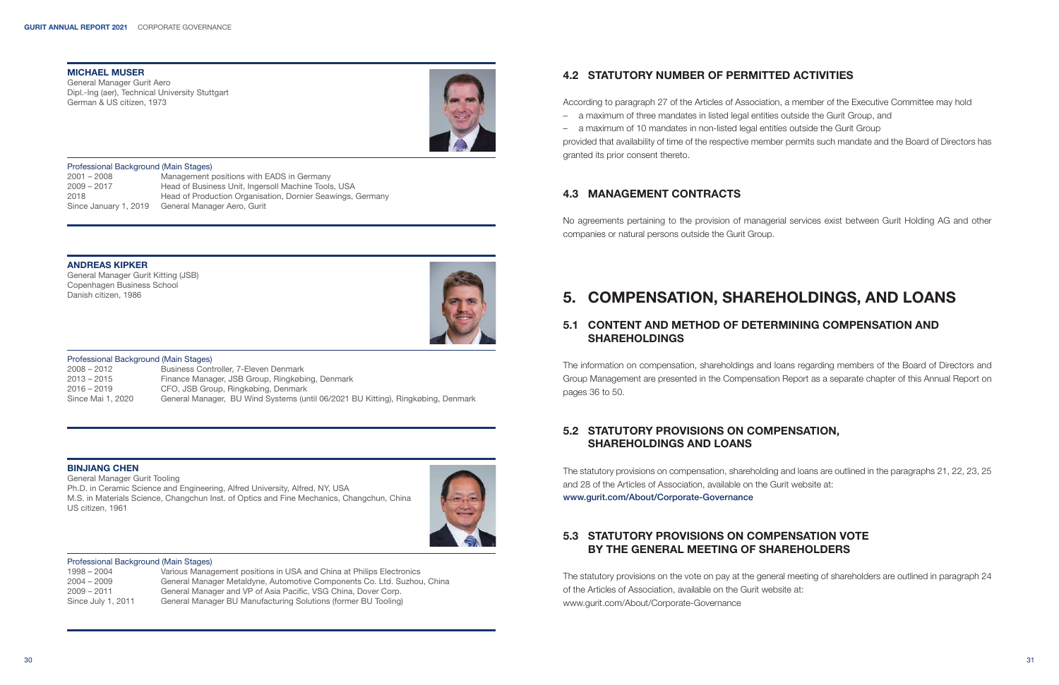### MICHAEL MUSER

General Manager Gurit Aero Dipl.-Ing (aer), Technical University Stuttgart German & US citizen, 1973



#### Professional Background (Main Stages)

2001 – 2008 Management positions with EADS in Germany Head of Business Unit, Ingersoll Machine Tools, USA 2018 Head of Production Organisation, Dornier Seawings, Germany Since January 1, 2019 General Manager Aero, Gurit

## 4.2 STATUTORY NUMBER OF PERMITTED ACTIVITIES

According to paragraph 27 of the Articles of Association, a member of the Executive Committee may hold

- a maximum of three mandates in listed legal entities outside the Gurit Group, and
- a maximum of 10 mandates in non-listed legal entities outside the Gurit Group

provided that availability of time of the respective member permits such mandate and the Board of Directors has granted its prior consent thereto.

## 4.3 MANAGEMENT CONTRACTS

No agreements pertaining to the provision of managerial services exist between Gurit Holding AG and other companies or natural persons outside the Gurit Group.

## ANDREAS KIPKER

General Manager Gurit Kitting (JSB) Copenhagen Business School Danish citizen, 1986



#### Professional Background (Main Stages)

| $2008 - 2012$     | Business Controller, 7-Eleven Denmark                                            |
|-------------------|----------------------------------------------------------------------------------|
| $2013 - 2015$     | Finance Manager, JSB Group, Ringkøbing, Denmark                                  |
| $2016 - 2019$     | CFO, JSB Group, Ringkøbing, Denmark                                              |
| Since Mai 1, 2020 | General Manager, BU Wind Systems (until 06/2021 BU Kitting), Ringkøbing, Denmark |

#### BINJIANG CHEN

General Manager Gurit Tooling Ph.D. in Ceramic Science and Engineering, Alfred University, Alfred, NY, USA M.S. in Materials Science, Changchun Inst. of Optics and Fine Mechanics, Changchun, China US citizen, 1961



#### Professional Background (Main Stages)

| 1998 – 2004        | Various Management positions in USA and China at Philips Electronics    |
|--------------------|-------------------------------------------------------------------------|
| $2004 - 2009$      | General Manager Metaldyne, Automotive Components Co. Ltd. Suzhou, China |
| $2009 - 2011$      | General Manager and VP of Asia Pacific, VSG China, Dover Corp.          |
| Since July 1, 2011 | General Manager BU Manufacturing Solutions (former BU Tooling)          |

# 5. COMPENSATION, SHAREHOLDINGS, AND LOANS

## 5.1 CONTENT AND METHOD OF DETERMINING COMPENSATION AND **SHAREHOLDINGS**

The information on compensation, shareholdings and loans regarding members of the Board of Directors and Group Management are presented in the Compensation Report as a separate chapter of this Annual Report on pages 36 to 50.

## 5.2 STATUTORY PROVISIONS ON COMPENSATION, SHAREHOLDINGS AND LOANS

The statutory provisions on compensation, shareholding and loans are outlined in the paragraphs 21, 22, 23, 25 and 28 of the Articles of Association, available on the Gurit website at:

www.gurit.com/About/Corporate-Governance

## 5.3 STATUTORY PROVISIONS ON COMPENSATION VOTE BY THE GENERAL MEETING OF SHAREHOLDERS

The statutory provisions on the vote on pay at the general meeting of shareholders are outlined in paragraph 24 of the Articles of Association, available on the Gurit website at: www.gurit.com/About/Corporate-Governance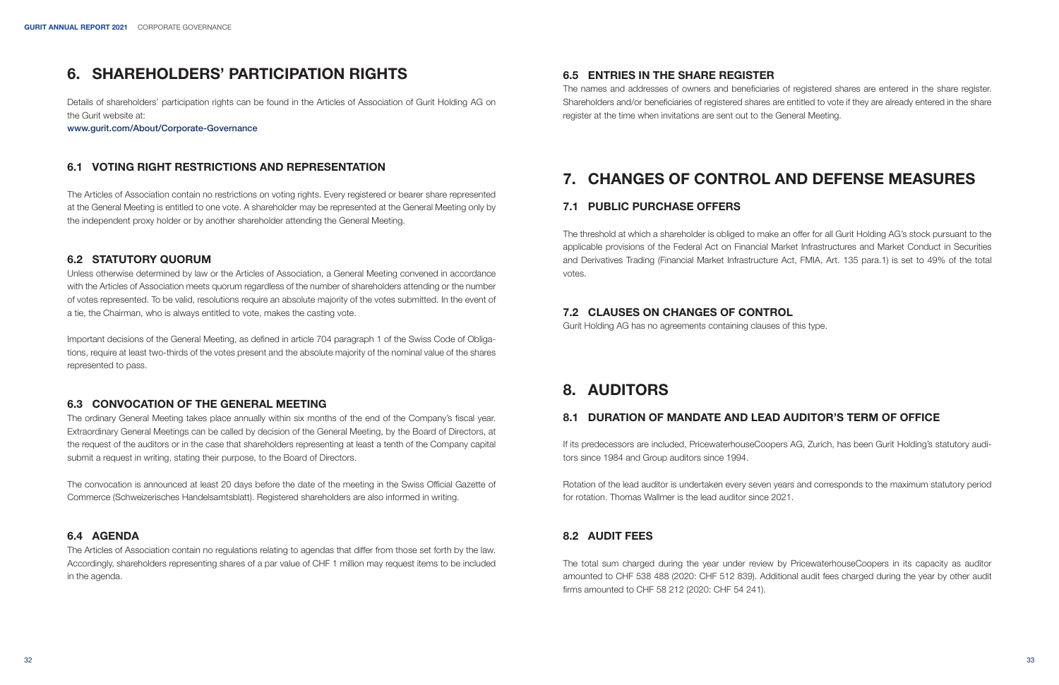# 6. SHAREHOLDERS' PARTICIPATION RIGHTS

Details of shareholders' participation rights can be found in the Articles of Association of Gurit Holding AG on the Gurit website at:

www.gurit.com/About/Corporate-Governance

## 6.1 VOTING RIGHT RESTRICTIONS AND REPRESENTATION

The Articles of Association contain no restrictions on voting rights. Every registered or bearer share represented at the General Meeting is entitled to one vote. A shareholder may be represented at the General Meeting only by the independent proxy holder or by another shareholder attending the General Meeting.

## 6.2 STATUTORY QUORUM

Unless otherwise determined by law or the Articles of Association, a General Meeting convened in accordance with the Articles of Association meets quorum regardless of the number of shareholders attending or the number of votes represented. To be valid, resolutions require an absolute majority of the votes submitted. In the event of a tie, the Chairman, who is always entitled to vote, makes the casting vote.

Important decisions of the General Meeting, as defined in article 704 paragraph 1 of the Swiss Code of Obligations, require at least two-thirds of the votes present and the absolute majority of the nominal value of the shares represented to pass.

## 6.3 CONVOCATION OF THE GENERAL MEETING

The ordinary General Meeting takes place annually within six months of the end of the Company's fiscal year. Extraordinary General Meetings can be called by decision of the General Meeting, by the Board of Directors, at the request of the auditors or in the case that shareholders representing at least a tenth of the Company capital submit a request in writing, stating their purpose, to the Board of Directors.

The convocation is announced at least 20 days before the date of the meeting in the Swiss Official Gazette of Commerce (Schweizerisches Handelsamtsblatt). Registered shareholders are also informed in writing.

## 6.4 AGENDA

The Articles of Association contain no regulations relating to agendas that differ from those set forth by the law. Accordingly, shareholders representing shares of a par value of CHF 1 million may request items to be included in the agenda.

## 6.5 ENTRIES IN THE SHARE REGISTER

The names and addresses of owners and beneficiaries of registered shares are entered in the share register. Shareholders and/or beneficiaries of registered shares are entitled to vote if they are already entered in the share register at the time when invitations are sent out to the General Meeting.

# 7. CHANGES OF CONTROL AND DEFENSE MEASURES

## 7.1 PUBLIC PURCHASE OFFERS

The threshold at which a shareholder is obliged to make an offer for all Gurit Holding AG's stock pursuant to the applicable provisions of the Federal Act on Financial Market Infrastructures and Market Conduct in Securities and Derivatives Trading (Financial Market Infrastructure Act, FMIA, Art. 135 para.1) is set to 49% of the total votes.

## 7.2 CLAUSES ON CHANGES OF CONTROL

Gurit Holding AG has no agreements containing clauses of this type.

# 8. AUDITORS

## 8.1 DURATION OF MANDATE AND LEAD AUDITOR'S TERM OF OFFICE

If its predecessors are included, PricewaterhouseCoopers AG, Zurich, has been Gurit Holding's statutory auditors since 1984 and Group auditors since 1994.

Rotation of the lead auditor is undertaken every seven years and corresponds to the maximum statutory period for rotation. Thomas Wallmer is the lead auditor since 2021.

## 8.2 AUDIT FEES

The total sum charged during the year under review by PricewaterhouseCoopers in its capacity as auditor amounted to CHF 538 488 (2020: CHF 512 839). Additional audit fees charged during the year by other audit firms amounted to CHF 58 212 (2020: CHF 54 241).